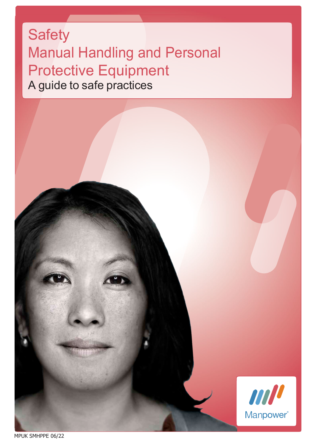# **Safety** Manual Handling and Personal Protective Equipment A guide to safe practices



MPUK SMHPPE 06/22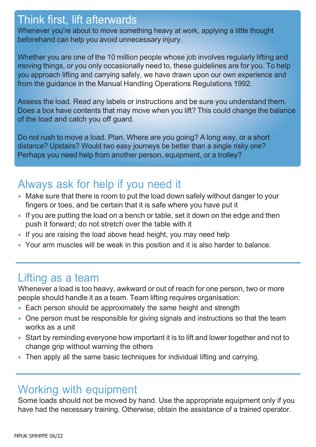#### Think first, lift afterwards

Whenever you're about to move something heavy at work, applying a little thought beforehand can help you avoid unnecessary injury.

Whether you are one of the 10 million people whose job involves regularly lifting and moving things, or you only occasionally need to, these guidelines are for you. To help you approach lifting and carrying safely, we have drawn upon our own experience and from the guidance in the Manual Handling Operations Regulations 1992.

Assess the load. Read any labels or instructions and be sure you understand them. Does a box have contents that may move when you lift? This could change the balance of the load and catch you off guard.

Do not rush to move a load. Plan. Where are you going? A long way, or a short distance? Upstairs? Would two easy journeys be better than a single risky one? Perhaps you need help from another person, equipment, or a trolley?

# Always ask for help if you need it

- Make sure that there is room to put the load down safely without danger to your fingers or toes, and be certain that it is safe where you have put it
- If you are putting the load on a bench or table, set it down on the edge and then push it forward; do not stretch over the table with it
- If you are raising the load above head height, you may need help
- Your arm muscles will be weak in this position and it is also harder to balance.

#### Lifting as a team

Whenever a load is too heavy, awkward or out of reach for one person, two or more people should handle it as a team. Team lifting requires organisation:

- Each person should be approximately the same height and strength
- One person must be responsible for giving signals and instructions so that the team works as a unit
- Start by reminding everyone how important it is to lift and lower together and not to change grip without warning the others
- Then apply all the same basic techniques for individual lifting and carrying.

#### Working with equipment

Some loads should not be moved by hand. Use the appropriate equipment only if you have had the necessary training. Otherwise, obtain the assistance of a trained operator.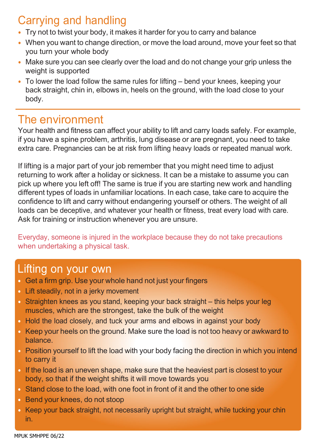# Carrying and handling

- Try not to twist your body, it makes it harder for you to carry and balance
- When you want to change direction, or move the load around, move your feet so that you turn your whole body
- Make sure you can see clearly over the load and do not change your grip unless the weight is supported
- To lower the load follow the same rules for lifting bend your knees, keeping your back straight, chin in, elbows in, heels on the ground, with the load close to your body.

#### The environment

Your health and fitness can affect your ability to lift and carry loads safely. For example, if you have a spine problem, arthritis, lung disease or are pregnant, you need to take extra care. Pregnancies can be at risk from lifting heavy loads or repeated manual work.

If lifting is a major part of your job remember that you might need time to adjust returning to work after a holiday or sickness. It can be a mistake to assume you can pick up where you left off! The same is true if you are starting new work and handling different types of loads in unfamiliar locations. In each case, take care to acquire the confidence to lift and carry without endangering yourself or others. The weight of all loads can be deceptive, and whatever your health or fitness, treat every load with care. Ask for training or instruction whenever you are unsure.

Everyday, someone is injured in the workplace because they do not take precautions when undertaking a physical task.

#### Lifting on your own

- Get a firm grip. Use your whole hand not just your fingers
- Lift steadily, not in a jerky movement
- Straighten knees as you stand, keeping your back straight this helps your leg muscles, which are the strongest, take the bulk of the weight
- Hold the load closely, and tuck your arms and elbows in against your body
- Keep your heels on the ground. Make sure the load is not too heavy or awkward to balance.
- Position yourself to lift the load with your body facing the direction in which you intend to carry it
- If the load is an uneven shape, make sure that the heaviest part is closest to your body, so that if the weight shifts it will move towards you
- Stand close to the load, with one foot in front of it and the other to one side
- Bend your knees, do not stoop
- Keep your back straight, not necessarily upright but straight, while tucking your chin in.